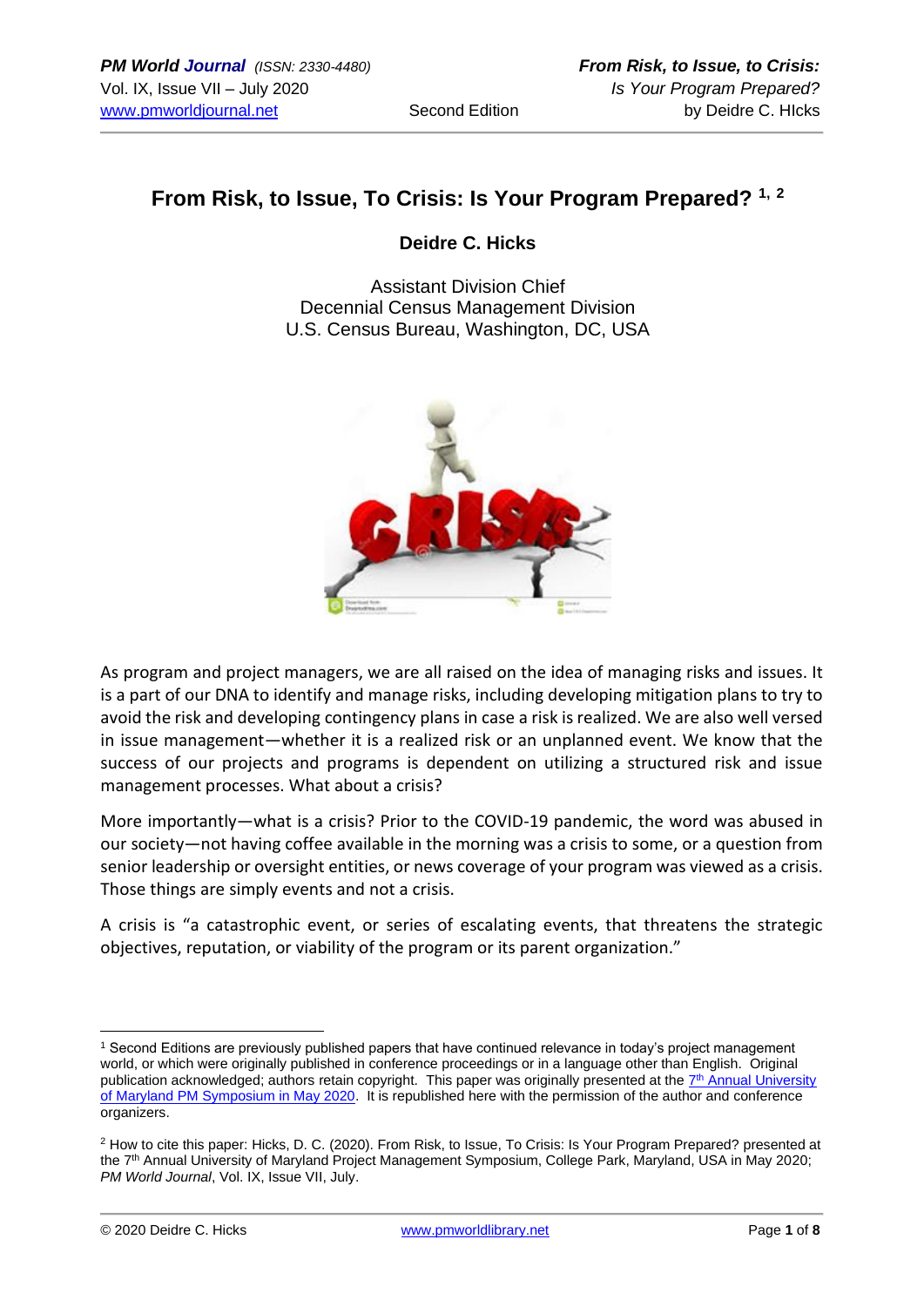## **From Risk, to Issue, To Crisis: Is Your Program Prepared? 1, <sup>2</sup>**

### **Deidre C. Hicks**

Assistant Division Chief Decennial Census Management Division U.S. Census Bureau, Washington, DC, USA



As program and project managers, we are all raised on the idea of managing risks and issues. It is a part of our DNA to identify and manage risks, including developing mitigation plans to try to avoid the risk and developing contingency plans in case a risk is realized. We are also well versed in issue management―whether it is a realized risk or an unplanned event. We know that the success of our projects and programs is dependent on utilizing a structured risk and issue management processes. What about a crisis?

More importantly―what is a crisis? Prior to the COVID-19 pandemic, the word was abused in our society―not having coffee available in the morning was a crisis to some, or a question from senior leadership or oversight entities, or news coverage of your program was viewed as a crisis. Those things are simply events and not a crisis.

A crisis is "a catastrophic event, or series of escalating events, that threatens the strategic objectives, reputation, or viability of the program or its parent organization."

<sup>1</sup> Second Editions are previously published papers that have continued relevance in today's project management world, or which were originally published in conference proceedings or in a language other than English. Original publication acknowledged; authors retain copyright. This paper was originally presented at the T<sup>th</sup> Annual University [of Maryland PM Symposium in May 2020.](https://pmsymposium.umd.edu/pm2020/) It is republished here with the permission of the author and conference organizers.

<sup>2</sup> How to cite this paper: Hicks, D. C. (2020). From Risk, to Issue, To Crisis: Is Your Program Prepared? presented at the 7th Annual University of Maryland Project Management Symposium, College Park, Maryland, USA in May 2020; *PM World Journal*, Vol. IX, Issue VII, July.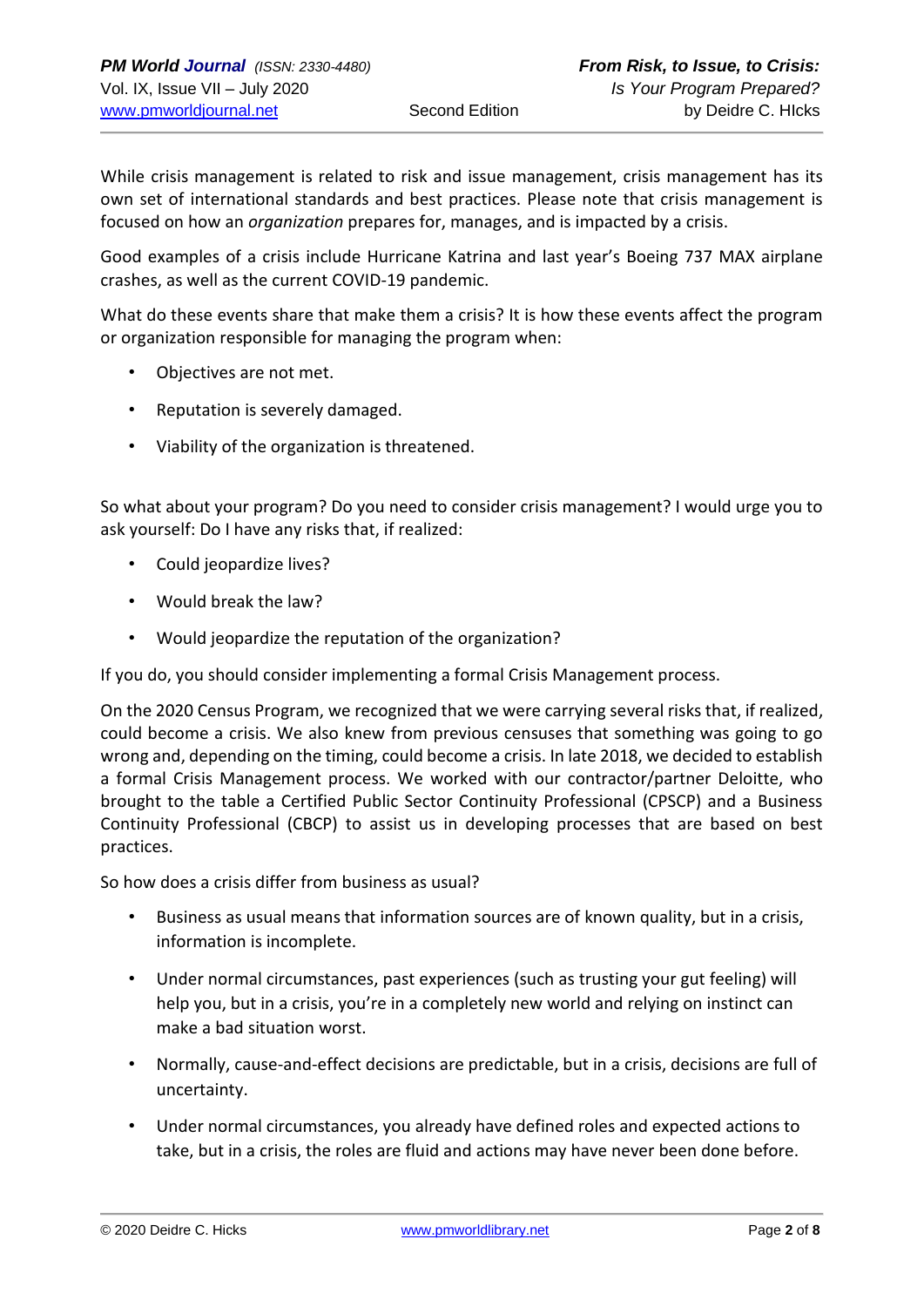While crisis management is related to risk and issue management, crisis management has its own set of international standards and best practices. Please note that crisis management is focused on how an *organization* prepares for, manages, and is impacted by a crisis.

Good examples of a crisis include Hurricane Katrina and last year's Boeing 737 MAX airplane crashes, as well as the current COVID-19 pandemic.

What do these events share that make them a crisis? It is how these events affect the program or organization responsible for managing the program when:

- Objectives are not met.
- Reputation is severely damaged.
- Viability of the organization is threatened.

So what about your program? Do you need to consider crisis management? I would urge you to ask yourself: Do I have any risks that, if realized:

- Could jeopardize lives?
- Would break the law?
- Would jeopardize the reputation of the organization?

If you do, you should consider implementing a formal Crisis Management process.

On the 2020 Census Program, we recognized that we were carrying several risks that, if realized, could become a crisis. We also knew from previous censuses that something was going to go wrong and, depending on the timing, could become a crisis. In late 2018, we decided to establish a formal Crisis Management process. We worked with our contractor/partner Deloitte, who brought to the table a Certified Public Sector Continuity Professional (CPSCP) and a Business Continuity Professional (CBCP) to assist us in developing processes that are based on best practices.

So how does a crisis differ from business as usual?

- Business as usual means that information sources are of known quality, but in a crisis, information is incomplete.
- Under normal circumstances, past experiences (such as trusting your gut feeling) will help you, but in a crisis, you're in a completely new world and relying on instinct can make a bad situation worst.
- Normally, cause-and-effect decisions are predictable, but in a crisis, decisions are full of uncertainty.
- Under normal circumstances, you already have defined roles and expected actions to take, but in a crisis, the roles are fluid and actions may have never been done before.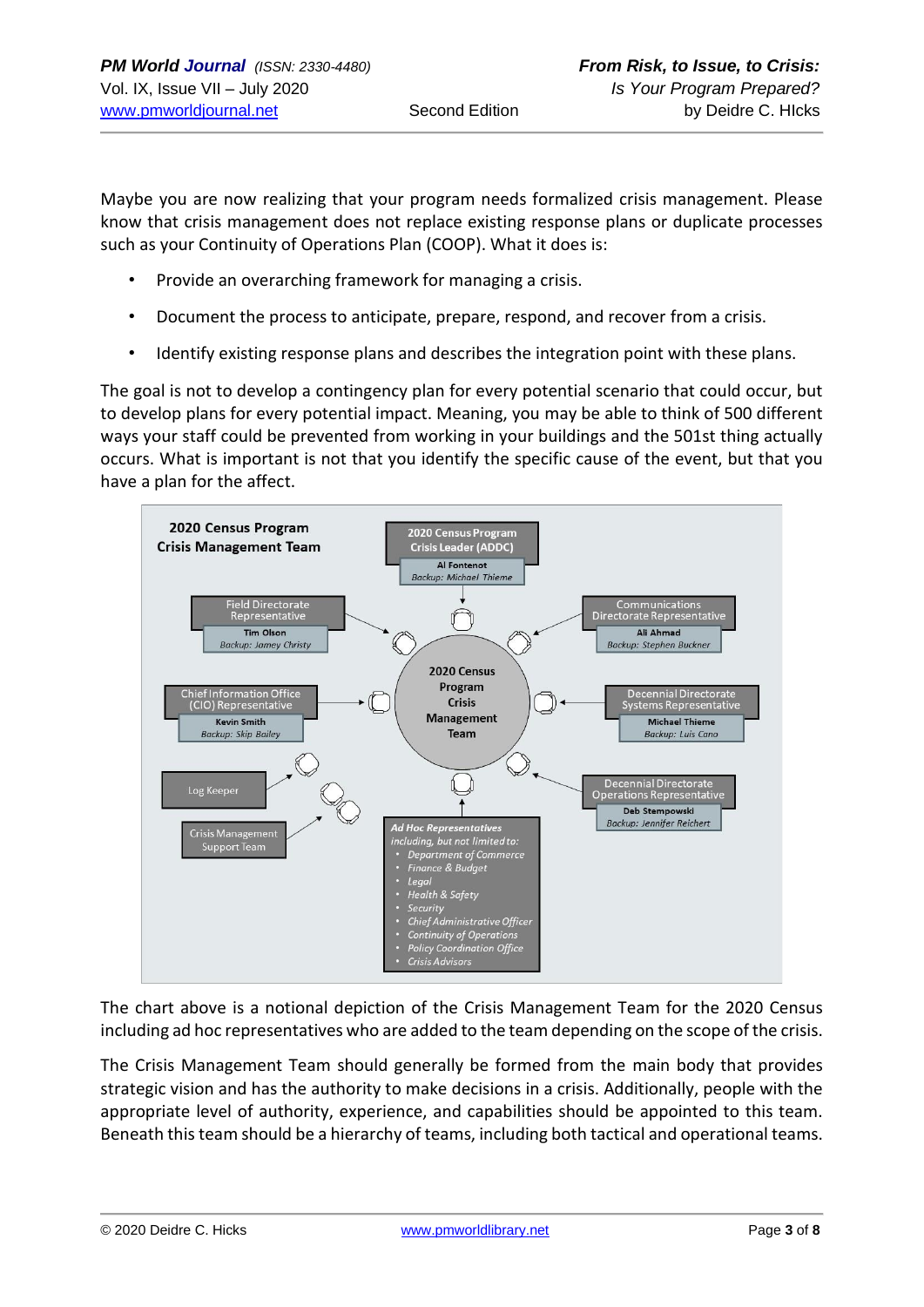Maybe you are now realizing that your program needs formalized crisis management. Please know that crisis management does not replace existing response plans or duplicate processes such as your Continuity of Operations Plan (COOP). What it does is:

- Provide an overarching framework for managing a crisis.
- Document the process to anticipate, prepare, respond, and recover from a crisis.
- Identify existing response plans and describes the integration point with these plans.

The goal is not to develop a contingency plan for every potential scenario that could occur, but to develop plans for every potential impact. Meaning, you may be able to think of 500 different ways your staff could be prevented from working in your buildings and the 501st thing actually occurs. What is important is not that you identify the specific cause of the event, but that you have a plan for the affect.



The chart above is a notional depiction of the Crisis Management Team for the 2020 Census including ad hoc representatives who are added to the team depending on the scope of the crisis.

The Crisis Management Team should generally be formed from the main body that provides strategic vision and has the authority to make decisions in a crisis. Additionally, people with the appropriate level of authority, experience, and capabilities should be appointed to this team. Beneath this team should be a hierarchy of teams, including both tactical and operational teams.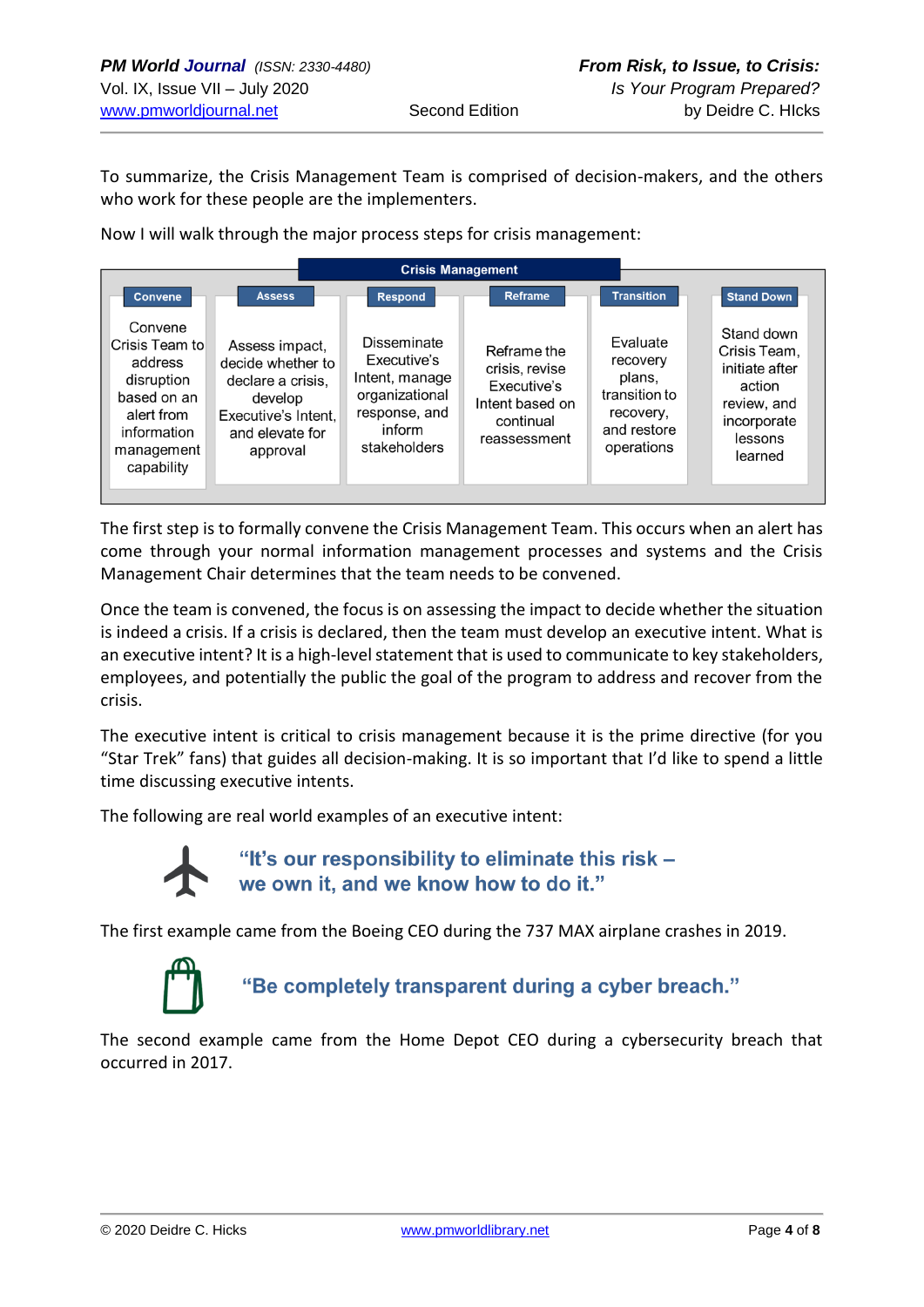To summarize, the Crisis Management Team is comprised of decision-makers, and the others who work for these people are the implementers.

Now I will walk through the major process steps for crisis management:

| <b>Crisis Management</b>                                                                                                   |                                                                                                                                                                                                                                        |                                                                                              |                                                                                           |                                                                                                            |
|----------------------------------------------------------------------------------------------------------------------------|----------------------------------------------------------------------------------------------------------------------------------------------------------------------------------------------------------------------------------------|----------------------------------------------------------------------------------------------|-------------------------------------------------------------------------------------------|------------------------------------------------------------------------------------------------------------|
| <b>Convene</b>                                                                                                             | <b>Assess</b><br><b>Respond</b>                                                                                                                                                                                                        | <b>Reframe</b>                                                                               | <b>Transition</b>                                                                         | <b>Stand Down</b>                                                                                          |
| Convene<br>Crisis Team to<br>address<br>disruption<br>based on an<br>alert from<br>information<br>management<br>capability | Disseminate<br>Assess impact,<br>Executive's<br>decide whether to<br>Intent, manage<br>declare a crisis,<br>organizational<br>develop<br>response, and<br>Executive's Intent,<br>inform<br>and elevate for<br>stakeholders<br>approval | Reframe the<br>crisis, revise<br>Executive's<br>Intent based on<br>continual<br>reassessment | Evaluate<br>recovery<br>plans,<br>transition to<br>recovery,<br>and restore<br>operations | Stand down<br>Crisis Team,<br>initiate after<br>action<br>review, and<br>incorporate<br>lessons<br>learned |

The first step is to formally convene the Crisis Management Team. This occurs when an alert has come through your normal information management processes and systems and the Crisis Management Chair determines that the team needs to be convened.

Once the team is convened, the focus is on assessing the impact to decide whether the situation is indeed a crisis. If a crisis is declared, then the team must develop an executive intent. What is an executive intent? It is a high-level statement that is used to communicate to key stakeholders, employees, and potentially the public the goal of the program to address and recover from the crisis.

The executive intent is critical to crisis management because it is the prime directive (for you "Star Trek" fans) that guides all decision-making. It is so important that I'd like to spend a little time discussing executive intents.

The following are real world examples of an executive intent:



"It's our responsibility to eliminate this risk -<br>we own it, and we know how to do it."

The first example came from the Boeing CEO during the 737 MAX airplane crashes in 2019.



"Be completely transparent during a cyber breach."

The second example came from the Home Depot CEO during a cybersecurity breach that occurred in 2017.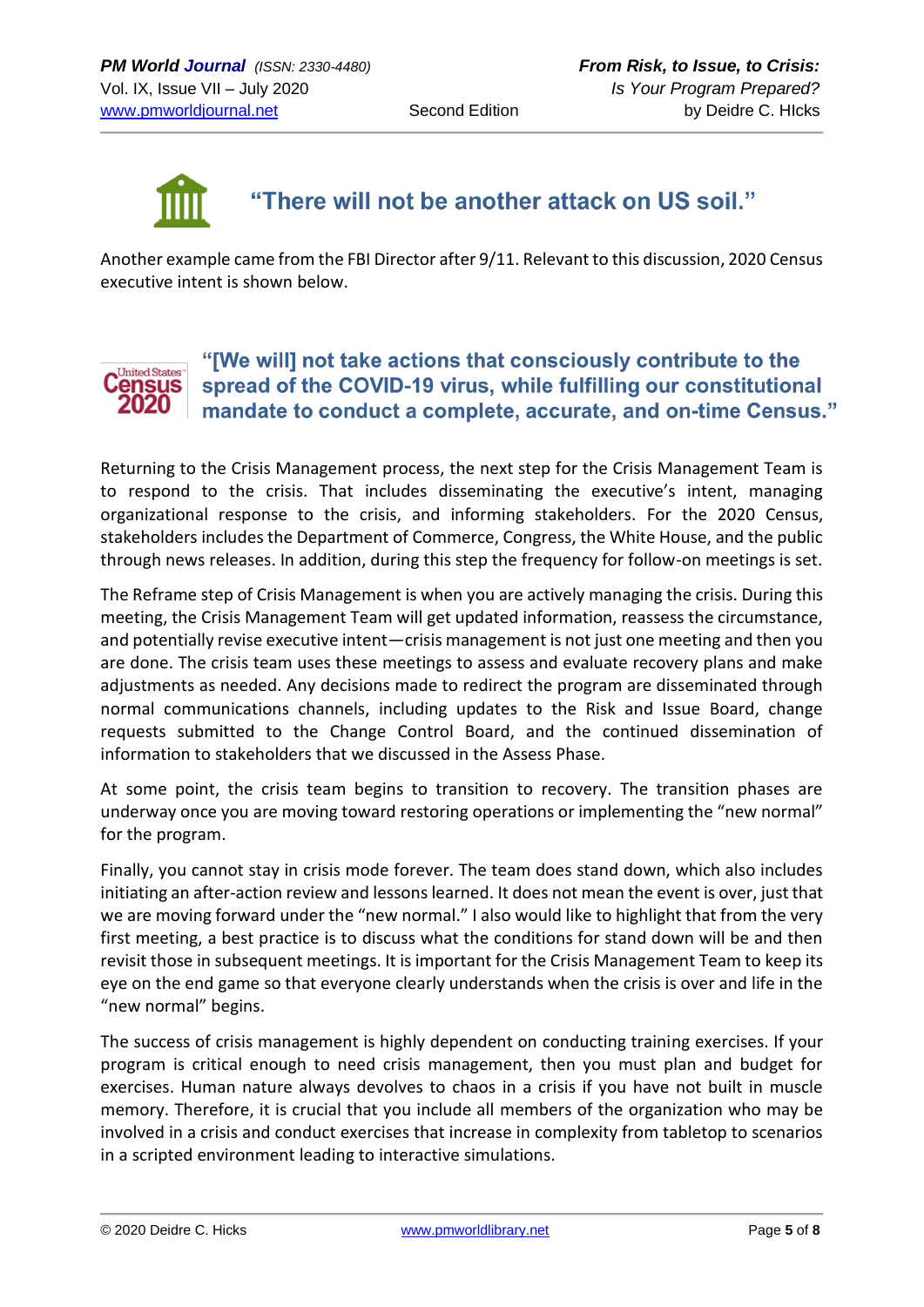

# "There will not be another attack on US soil."

Another example came from the FBI Director after 9/11. Relevant to this discussion, 2020 Census executive intent is shown below.

#### "[We will] not take actions that consciously contribute to the **United States** spread of the COVID-19 virus, while fulfilling our constitutional ensus 2020 mandate to conduct a complete, accurate, and on-time Census."

Returning to the Crisis Management process, the next step for the Crisis Management Team is to respond to the crisis. That includes disseminating the executive's intent, managing organizational response to the crisis, and informing stakeholders. For the 2020 Census, stakeholders includes the Department of Commerce, Congress, the White House, and the public through news releases. In addition, during this step the frequency for follow-on meetings is set.

The Reframe step of Crisis Management is when you are actively managing the crisis. During this meeting, the Crisis Management Team will get updated information, reassess the circumstance, and potentially revise executive intent―crisis management is not just one meeting and then you are done. The crisis team uses these meetings to assess and evaluate recovery plans and make adjustments as needed. Any decisions made to redirect the program are disseminated through normal communications channels, including updates to the Risk and Issue Board, change requests submitted to the Change Control Board, and the continued dissemination of information to stakeholders that we discussed in the Assess Phase.

At some point, the crisis team begins to transition to recovery. The transition phases are underway once you are moving toward restoring operations or implementing the "new normal" for the program.

Finally, you cannot stay in crisis mode forever. The team does stand down, which also includes initiating an after-action review and lessons learned. It does not mean the event is over, just that we are moving forward under the "new normal." I also would like to highlight that from the very first meeting, a best practice is to discuss what the conditions for stand down will be and then revisit those in subsequent meetings. It is important for the Crisis Management Team to keep its eye on the end game so that everyone clearly understands when the crisis is over and life in the "new normal" begins.

The success of crisis management is highly dependent on conducting training exercises. If your program is critical enough to need crisis management, then you must plan and budget for exercises. Human nature always devolves to chaos in a crisis if you have not built in muscle memory. Therefore, it is crucial that you include all members of the organization who may be involved in a crisis and conduct exercises that increase in complexity from tabletop to scenarios in a scripted environment leading to interactive simulations.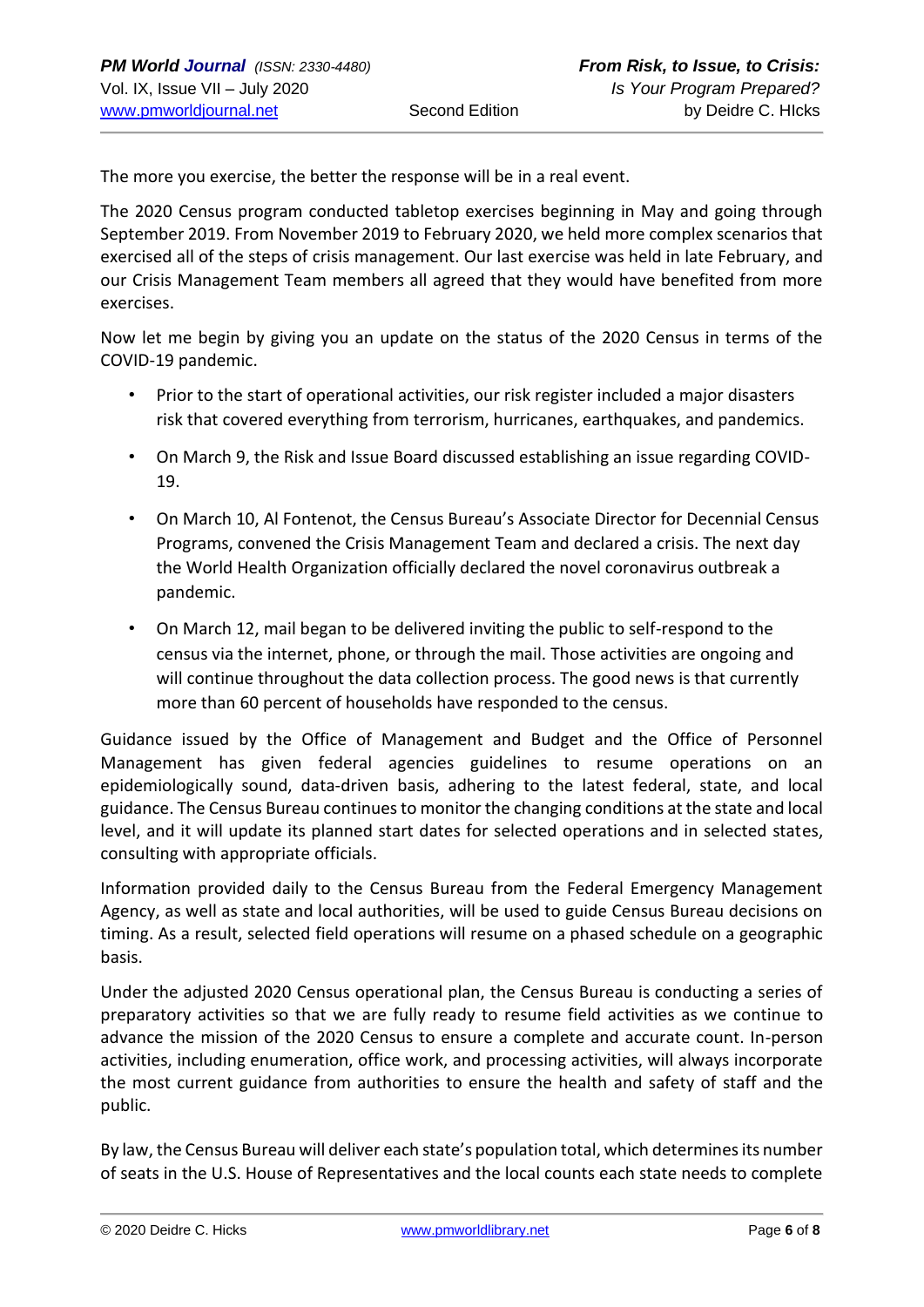The more you exercise, the better the response will be in a real event.

The 2020 Census program conducted tabletop exercises beginning in May and going through September 2019. From November 2019 to February 2020, we held more complex scenarios that exercised all of the steps of crisis management. Our last exercise was held in late February, and our Crisis Management Team members all agreed that they would have benefited from more exercises.

Now let me begin by giving you an update on the status of the 2020 Census in terms of the COVID-19 pandemic.

- Prior to the start of operational activities, our risk register included a major disasters risk that covered everything from terrorism, hurricanes, earthquakes, and pandemics.
- On March 9, the Risk and Issue Board discussed establishing an issue regarding COVID-19.
- On March 10, Al Fontenot, the Census Bureau's Associate Director for Decennial Census Programs, convened the Crisis Management Team and declared a crisis. The next day the World Health Organization officially declared the novel coronavirus outbreak a pandemic.
- On March 12, mail began to be delivered inviting the public to self-respond to the census via the internet, phone, or through the mail. Those activities are ongoing and will continue throughout the data collection process. The good news is that currently more than 60 percent of households have responded to the census.

Guidance issued by the Office of Management and Budget and the Office of Personnel Management has given federal agencies guidelines to resume operations on an epidemiologically sound, data-driven basis, adhering to the latest federal, state, and local guidance. The Census Bureau continues to monitor the changing conditions at the state and local level, and it will update its planned start dates for selected operations and in selected states, consulting with appropriate officials.

Information provided daily to the Census Bureau from the Federal Emergency Management Agency, as well as state and local authorities, will be used to guide Census Bureau decisions on timing. As a result, selected field operations will resume on a phased schedule on a geographic basis.

Under the adjusted 2020 Census operational plan, the Census Bureau is conducting a series of preparatory activities so that we are fully ready to resume field activities as we continue to advance the mission of the 2020 Census to ensure a complete and accurate count. In-person activities, including enumeration, office work, and processing activities, will always incorporate the most current guidance from authorities to ensure the health and safety of staff and the public.

By law, the Census Bureau will deliver each state's population total, which determines its number of seats in the U.S. House of Representatives and the local counts each state needs to complete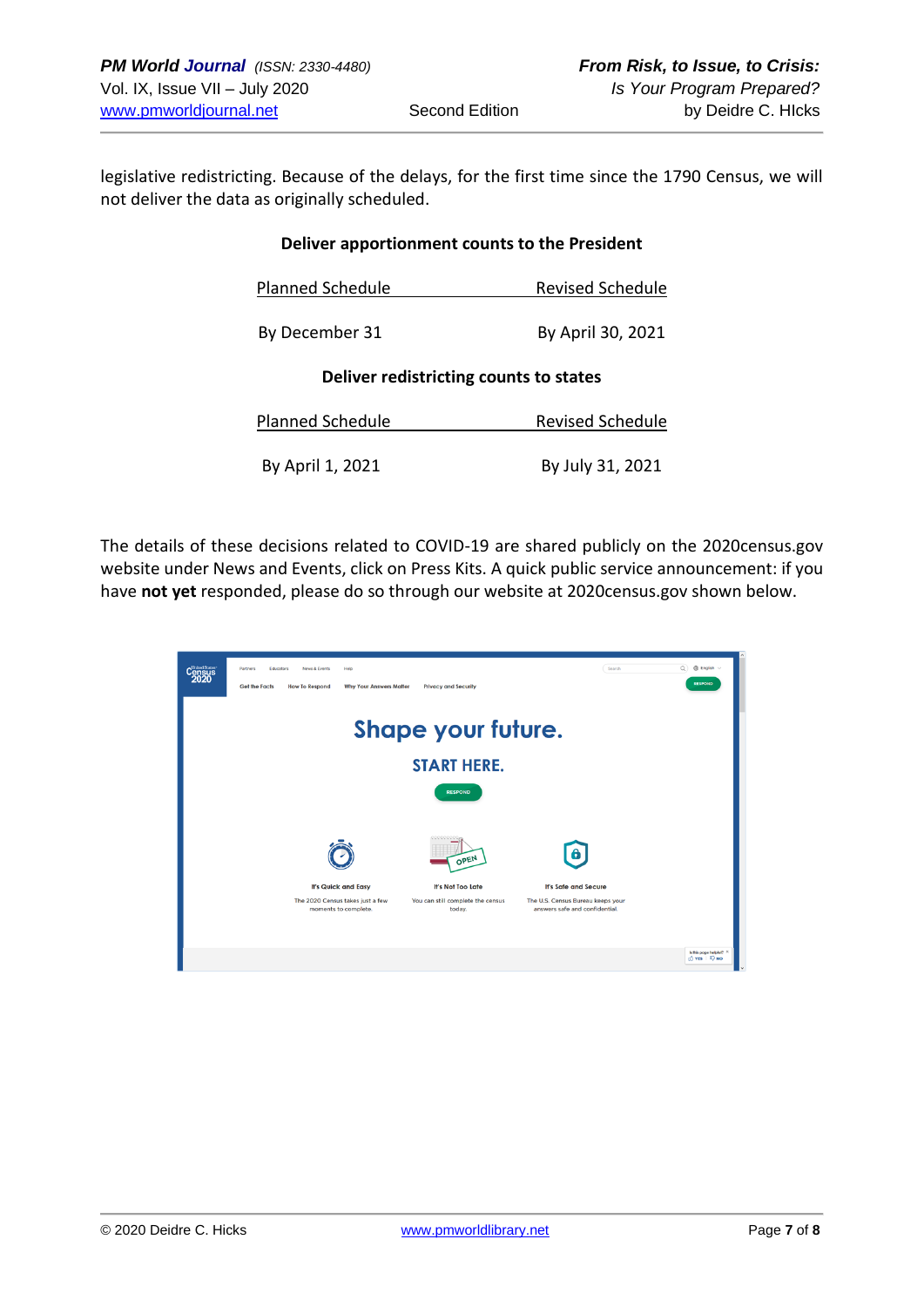legislative redistricting. Because of the delays, for the first time since the 1790 Census, we will not deliver the data as originally scheduled.

#### **Deliver apportionment counts to the President**

| <b>Planned Schedule</b> | <b>Revised Schedule</b> |
|-------------------------|-------------------------|
|                         |                         |

| By December 31 | By April 30, 2021 |
|----------------|-------------------|
|                |                   |

#### **Deliver redistricting counts to states**

| Planned Schedule | <b>Revised Schedule</b> |  |
|------------------|-------------------------|--|
|                  |                         |  |
| By April 1, 2021 | By July 31, 2021        |  |

The details of these decisions related to COVID-19 are shared publicly on the 2020census.gov website under News and Events, click on Press Kits. A quick public service announcement: if you have **not yet** responded, please do so through our website at 2020census.gov shown below.